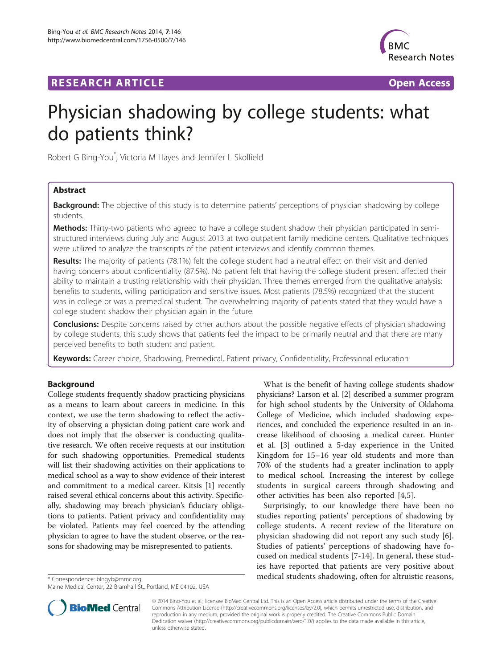## **RESEARCH ARTICLE Example 2018 12:00 Department of the Contract Open Access**



# Physician shadowing by college students: what do patients think?

Robert G Bing-You\* , Victoria M Hayes and Jennifer L Skolfield

## Abstract

**Background:** The objective of this study is to determine patients' perceptions of physician shadowing by college students.

Methods: Thirty-two patients who agreed to have a college student shadow their physician participated in semistructured interviews during July and August 2013 at two outpatient family medicine centers. Qualitative techniques were utilized to analyze the transcripts of the patient interviews and identify common themes.

Results: The majority of patients (78.1%) felt the college student had a neutral effect on their visit and denied having concerns about confidentiality (87.5%). No patient felt that having the college student present affected their ability to maintain a trusting relationship with their physician. Three themes emerged from the qualitative analysis: benefits to students, willing participation and sensitive issues. Most patients (78.5%) recognized that the student was in college or was a premedical student. The overwhelming majority of patients stated that they would have a college student shadow their physician again in the future.

**Conclusions:** Despite concerns raised by other authors about the possible negative effects of physician shadowing by college students, this study shows that patients feel the impact to be primarily neutral and that there are many perceived benefits to both student and patient.

Keywords: Career choice, Shadowing, Premedical, Patient privacy, Confidentiality, Professional education

## Background

College students frequently shadow practicing physicians as a means to learn about careers in medicine. In this context, we use the term shadowing to reflect the activity of observing a physician doing patient care work and does not imply that the observer is conducting qualitative research. We often receive requests at our institution for such shadowing opportunities. Premedical students will list their shadowing activities on their applications to medical school as a way to show evidence of their interest and commitment to a medical career. Kitsis [[1](#page-4-0)] recently raised several ethical concerns about this activity. Specifically, shadowing may breach physician's fiduciary obligations to patients. Patient privacy and confidentiality may be violated. Patients may feel coerced by the attending physician to agree to have the student observe, or the reasons for shadowing may be misrepresented to patients.

Maine Medical Center, 22 Bramhall St., Portland, ME 04102, USA

What is the benefit of having college students shadow physicians? Larson et al. [[2](#page-4-0)] described a summer program for high school students by the University of Oklahoma College of Medicine, which included shadowing experiences, and concluded the experience resulted in an increase likelihood of choosing a medical career. Hunter et al. [[3](#page-4-0)] outlined a 5-day experience in the United Kingdom for 15–16 year old students and more than 70% of the students had a greater inclination to apply to medical school. Increasing the interest by college students in surgical careers through shadowing and other activities has been also reported [\[4](#page-4-0),[5\]](#page-4-0).

Surprisingly, to our knowledge there have been no studies reporting patients' perceptions of shadowing by college students. A recent review of the literature on physician shadowing did not report any such study [\[6](#page-4-0)]. Studies of patients' perceptions of shadowing have focused on medical students [[7-14\]](#page-4-0). In general, these studies have reported that patients are very positive about \* Correspondence: [bingyb@mmc.org](mailto:bingyb@mmc.org) medical students shadowing, often for altruistic reasons,



© 2014 Bing-You et al.; licensee BioMed Central Ltd. This is an Open Access article distributed under the terms of the Creative Commons Attribution License [\(http://creativecommons.org/licenses/by/2.0\)](http://creativecommons.org/licenses/by/2.0), which permits unrestricted use, distribution, and reproduction in any medium, provided the original work is properly credited. The Creative Commons Public Domain Dedication waiver [\(http://creativecommons.org/publicdomain/zero/1.0/](http://creativecommons.org/publicdomain/zero/1.0/)) applies to the data made available in this article, unless otherwise stated.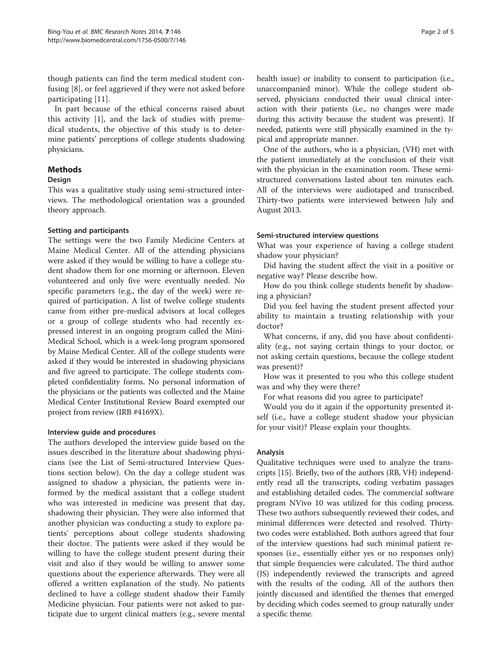though patients can find the term medical student confusing [[8\]](#page-4-0), or feel aggrieved if they were not asked before participating [\[11](#page-4-0)].

In part because of the ethical concerns raised about this activity [[1\]](#page-4-0), and the lack of studies with premedical students, the objective of this study is to determine patients' perceptions of college students shadowing physicians.

## **Methods**

## Design

This was a qualitative study using semi-structured interviews. The methodological orientation was a grounded theory approach.

## Setting and participants

The settings were the two Family Medicine Centers at Maine Medical Center. All of the attending physicians were asked if they would be willing to have a college student shadow them for one morning or afternoon. Eleven volunteered and only five were eventually needed. No specific parameters (e.g., the day of the week) were required of participation. A list of twelve college students came from either pre-medical advisors at local colleges or a group of college students who had recently expressed interest in an ongoing program called the Mini-Medical School, which is a week-long program sponsored by Maine Medical Center. All of the college students were asked if they would be interested in shadowing physicians and five agreed to participate. The college students completed confidentiality forms. No personal information of the physicians or the patients was collected and the Maine Medical Center Institutional Review Board exempted our project from review (IRB #4169X).

## Interview guide and procedures

The authors developed the interview guide based on the issues described in the literature about shadowing physicians (see the List of Semi-structured Interview Questions section below). On the day a college student was assigned to shadow a physician, the patients were informed by the medical assistant that a college student who was interested in medicine was present that day, shadowing their physician. They were also informed that another physician was conducting a study to explore patients' perceptions about college students shadowing their doctor. The patients were asked if they would be willing to have the college student present during their visit and also if they would be willing to answer some questions about the experience afterwards. They were all offered a written explanation of the study. No patients declined to have a college student shadow their Family Medicine physician. Four patients were not asked to participate due to urgent clinical matters (e.g., severe mental health issue) or inability to consent to participation (i.e., unaccompanied minor). While the college student observed, physicians conducted their usual clinical interaction with their patients (i.e., no changes were made during this activity because the student was present). If needed, patients were still physically examined in the typical and appropriate manner.

One of the authors, who is a physician, (VH) met with the patient immediately at the conclusion of their visit with the physician in the examination room. These semistructured conversations lasted about ten minutes each. All of the interviews were audiotaped and transcribed. Thirty-two patients were interviewed between July and August 2013.

## Semi-structured interview questions

What was your experience of having a college student shadow your physician?

Did having the student affect the visit in a positive or negative way? Please describe how.

How do you think college students benefit by shadowing a physician?

Did you feel having the student present affected your ability to maintain a trusting relationship with your doctor?

What concerns, if any, did you have about confidentiality (e.g., not saying certain things to your doctor, or not asking certain questions, because the college student was present)?

How was it presented to you who this college student was and why they were there?

For what reasons did you agree to participate?

Would you do it again if the opportunity presented itself (i.e., have a college student shadow your physician for your visit)? Please explain your thoughts.

## Analysis

Qualitative techniques were used to analyze the transcripts [\[15\]](#page-4-0). Briefly, two of the authors (RB, VH) independently read all the transcripts, coding verbatim passages and establishing detailed codes. The commercial software program NVivo 10 was utilized for this coding process. These two authors subsequently reviewed their codes, and minimal differences were detected and resolved. Thirtytwo codes were established. Both authors agreed that four of the interview questions had such minimal patient responses (i.e., essentially either yes or no responses only) that simple frequencies were calculated. The third author (JS) independently reviewed the transcripts and agreed with the results of the coding. All of the authors then jointly discussed and identified the themes that emerged by deciding which codes seemed to group naturally under a specific theme.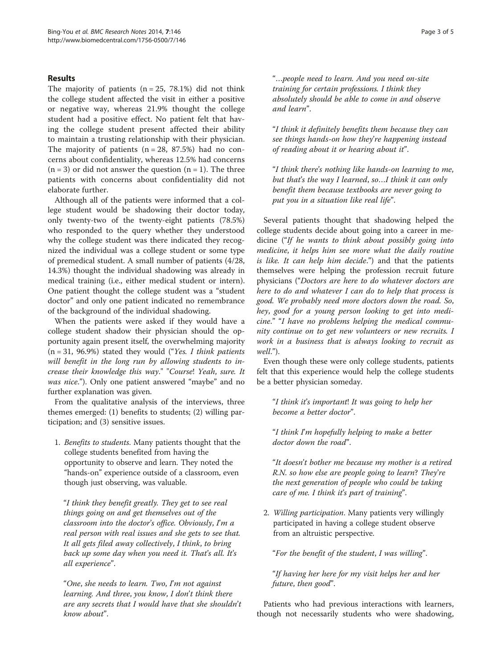## Results

The majority of patients  $(n = 25, 78.1%)$  did not think the college student affected the visit in either a positive or negative way, whereas 21.9% thought the college student had a positive effect. No patient felt that having the college student present affected their ability to maintain a trusting relationship with their physician. The majority of patients  $(n = 28, 87.5%)$  had no concerns about confidentiality, whereas 12.5% had concerns  $(n = 3)$  or did not answer the question  $(n = 1)$ . The three patients with concerns about confidentiality did not elaborate further.

Although all of the patients were informed that a college student would be shadowing their doctor today, only twenty-two of the twenty-eight patients (78.5%) who responded to the query whether they understood why the college student was there indicated they recognized the individual was a college student or some type of premedical student. A small number of patients (4/28, 14.3%) thought the individual shadowing was already in medical training (i.e., either medical student or intern). One patient thought the college student was a "student doctor" and only one patient indicated no remembrance of the background of the individual shadowing.

When the patients were asked if they would have a college student shadow their physician should the opportunity again present itself, the overwhelming majority  $(n = 31, 96.9\%)$  stated they would ("Yes. I think patients will benefit in the long run by allowing students to increase their knowledge this way." "Course! Yeah, sure. It was nice."). Only one patient answered "maybe" and no further explanation was given.

From the qualitative analysis of the interviews, three themes emerged: (1) benefits to students; (2) willing participation; and (3) sensitive issues.

1. Benefits to students. Many patients thought that the college students benefited from having the opportunity to observe and learn. They noted the "hands-on" experience outside of a classroom, even though just observing, was valuable.

"I think they benefit greatly. They get to see real things going on and get themselves out of the classroom into the doctor's office. Obviously, I'm a real person with real issues and she gets to see that. It all gets filed away collectively, I think, to bring back up some day when you need it. That's all. It's all experience".

"One, she needs to learn. Two, I'm not against learning. And three, you know, I don't think there are any secrets that I would have that she shouldn't know about".

"I think it definitely benefits them because they can see things hands-on how they're happening instead of reading about it or hearing about it".

and learn".

"I think there's nothing like hands-on learning to me, but that's the way I learned, so…I think it can only benefit them because textbooks are never going to put you in a situation like real life".

Several patients thought that shadowing helped the college students decide about going into a career in medicine ("If he wants to think about possibly going into medicine, it helps him see more what the daily routine is like. It can help him decide.") and that the patients themselves were helping the profession recruit future physicians ("Doctors are here to do whatever doctors are here to do and whatever I can do to help that process is good. We probably need more doctors down the road. So, hey, good for a young person looking to get into medicine." "I have no problems helping the medical community continue on to get new volunteers or new recruits. I work in a business that is always looking to recruit as well.").

Even though these were only college students, patients felt that this experience would help the college students be a better physician someday.

"I think it's important! It was going to help her become a better doctor".

"I think I'm hopefully helping to make a better doctor down the road".

"It doesn't bother me because my mother is a retired R.N. so how else are people going to learn? They're the next generation of people who could be taking care of me. I think it's part of training".

2. Willing participation. Many patients very willingly participated in having a college student observe from an altruistic perspective.

"For the benefit of the student, I was willing".

"If having her here for my visit helps her and her future, then good".

Patients who had previous interactions with learners, though not necessarily students who were shadowing,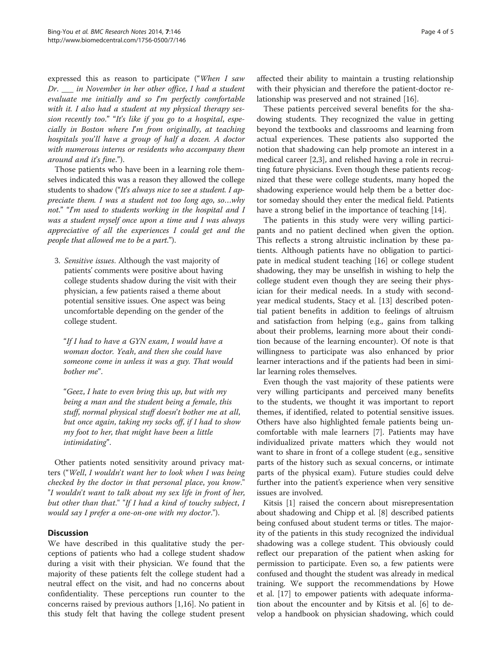expressed this as reason to participate ("When I saw Dr. \_\_\_ in November in her other office, I had a student evaluate me initially and so I'm perfectly comfortable with it. I also had a student at my physical therapy session recently too." "It's like if you go to a hospital, especially in Boston where I'm from originally, at teaching hospitals you'll have a group of half a dozen. A doctor with numerous interns or residents who accompany them around and it's fine.").

Those patients who have been in a learning role themselves indicated this was a reason they allowed the college students to shadow ("It's always nice to see a student. I appreciate them. I was a student not too long ago, so…why not." "I'm used to students working in the hospital and I was a student myself once upon a time and I was always appreciative of all the experiences I could get and the people that allowed me to be a part.").

3. Sensitive issues. Although the vast majority of patients' comments were positive about having college students shadow during the visit with their physician, a few patients raised a theme about potential sensitive issues. One aspect was being uncomfortable depending on the gender of the college student.

"If I had to have a GYN exam, I would have a woman doctor. Yeah, and then she could have someone come in unless it was a guy. That would bother me".

"Geez, I hate to even bring this up, but with my being a man and the student being a female, this stuff, normal physical stuff doesn't bother me at all, but once again, taking my socks off, if I had to show my foot to her, that might have been a little intimidating".

Other patients noted sensitivity around privacy matters ("Well, I wouldn't want her to look when I was being checked by the doctor in that personal place, you know." "I wouldn't want to talk about my sex life in front of her, but other than that." "If I had a kind of touchy subject, I would say I prefer a one-on-one with my doctor.").

## **Discussion**

We have described in this qualitative study the perceptions of patients who had a college student shadow during a visit with their physician. We found that the majority of these patients felt the college student had a neutral effect on the visit, and had no concerns about confidentiality. These perceptions run counter to the concerns raised by previous authors [\[1](#page-4-0),[16](#page-4-0)]. No patient in this study felt that having the college student present

affected their ability to maintain a trusting relationship with their physician and therefore the patient-doctor relationship was preserved and not strained [[16\]](#page-4-0).

These patients perceived several benefits for the shadowing students. They recognized the value in getting beyond the textbooks and classrooms and learning from actual experiences. These patients also supported the notion that shadowing can help promote an interest in a medical career [[2](#page-4-0),[3\]](#page-4-0), and relished having a role in recruiting future physicians. Even though these patients recognized that these were college students, many hoped the shadowing experience would help them be a better doctor someday should they enter the medical field. Patients have a strong belief in the importance of teaching [[14\]](#page-4-0).

The patients in this study were very willing participants and no patient declined when given the option. This reflects a strong altruistic inclination by these patients. Although patients have no obligation to participate in medical student teaching [\[16](#page-4-0)] or college student shadowing, they may be unselfish in wishing to help the college student even though they are seeing their physician for their medical needs. In a study with secondyear medical students, Stacy et al. [[13\]](#page-4-0) described potential patient benefits in addition to feelings of altruism and satisfaction from helping (e.g., gains from talking about their problems, learning more about their condition because of the learning encounter). Of note is that willingness to participate was also enhanced by prior learner interactions and if the patients had been in similar learning roles themselves.

Even though the vast majority of these patients were very willing participants and perceived many benefits to the students, we thought it was important to report themes, if identified, related to potential sensitive issues. Others have also highlighted female patients being uncomfortable with male learners [[7\]](#page-4-0). Patients may have individualized private matters which they would not want to share in front of a college student (e.g., sensitive parts of the history such as sexual concerns, or intimate parts of the physical exam). Future studies could delve further into the patient's experience when very sensitive issues are involved.

Kitsis [[1\]](#page-4-0) raised the concern about misrepresentation about shadowing and Chipp et al. [\[8](#page-4-0)] described patients being confused about student terms or titles. The majority of the patients in this study recognized the individual shadowing was a college student. This obviously could reflect our preparation of the patient when asking for permission to participate. Even so, a few patients were confused and thought the student was already in medical training. We support the recommendations by Howe et al. [[17](#page-4-0)] to empower patients with adequate information about the encounter and by Kitsis et al. [\[6\]](#page-4-0) to develop a handbook on physician shadowing, which could